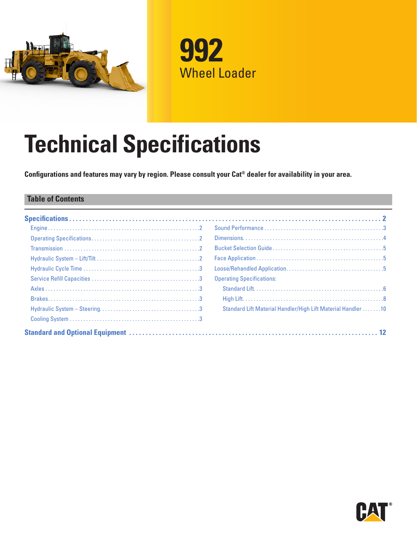



# **Technical Specifications**

**Configurations and features may vary by region. Please consult your Cat® dealer for availability in your area.**

#### **Table of Contents**

| <b>Operating Specifications:</b>                             |
|--------------------------------------------------------------|
|                                                              |
|                                                              |
| Standard Lift Material Handler/High Lift Material Handler 10 |
|                                                              |
|                                                              |

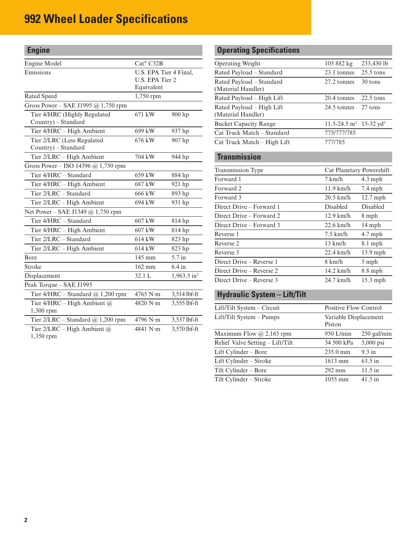<span id="page-1-0"></span>

| <b>Engine</b>                                       |                        |                                           |  |  |  |
|-----------------------------------------------------|------------------------|-------------------------------------------|--|--|--|
| Engine Model                                        | $Cat^{\circledR}$ C32B |                                           |  |  |  |
| Emissions                                           | Equivalent             | U.S. EPA Tier 4 Final,<br>U.S. EPA Tier 2 |  |  |  |
| Rated Speed                                         | 1,750 rpm              |                                           |  |  |  |
| Gross Power - SAE J1995 @ 1,750 rpm                 |                        |                                           |  |  |  |
| Tier 4/HRC (Highly Regulated<br>Country) - Standard | 671 kW                 | 900 hp                                    |  |  |  |
| Tier 4/HRC - High Ambient                           | 699 kW                 | 937 hp                                    |  |  |  |
| Tier 2/LRC (Less Regulated<br>Country) - Standard   | 676 kW                 | 907 hp                                    |  |  |  |
| Tier 2/LRC - High Ambient                           | 704 kW                 | 944 hp                                    |  |  |  |
| Gross Power – ISO 14396 @ 1,750 rpm                 |                        |                                           |  |  |  |
| Tier 4/HRC - Standard                               | 659 kW                 | 884 hp                                    |  |  |  |
| Tier 4/HRC - High Ambient                           | 687 kW                 | 921 hp                                    |  |  |  |
| Tier 2/LRC - Standard                               | 666 kW                 | 893 hp                                    |  |  |  |
| Tier 2/LRC - High Ambient                           | 694 kW                 | 931 hp                                    |  |  |  |
| Net Power - SAE J1349 @ 1,750 rpm                   |                        |                                           |  |  |  |
| Tier 4/HRC - Standard                               | 607 kW                 | 814 hp                                    |  |  |  |
| Tier 4/HRC - High Ambient                           | 607 kW                 | 814 hp                                    |  |  |  |
| Tier 2/LRC - Standard                               | 614 kW                 | 823 hp                                    |  |  |  |
| Tier 2/LRC - High Ambient                           | 614 kW                 | 823 hp                                    |  |  |  |
| Bore                                                | 145 mm                 | 5.7 in                                    |  |  |  |
| Stroke                                              | 162 mm                 | $6.4$ in                                  |  |  |  |
| Displacement                                        | 32.1 L                 | $1,963.5$ in <sup>3</sup>                 |  |  |  |
| Peak Torque - SAE J1995                             |                        |                                           |  |  |  |
| Tier $4/HRC - Standard$ $@$ 1,200 rpm               | $4765$ N $\cdot$ m     | 3,514 lbf-ft                              |  |  |  |
| Tier 4/HRC - High Ambient @<br>$1,300$ rpm          | 4820 N·m               | 3,555 lbf-ft                              |  |  |  |
| Tier 2/LRC - Standard @ 1,200 rpm                   | 4796 N·m               | 3,537 lbf-ft                              |  |  |  |
| Tier 2/LRC - High Ambient @<br>1,350 rpm            | 4841 N·m               | 3,570 lbf-ft                              |  |  |  |

# **Operating Specifications**

| <b>Operating Weight</b>      | 105 882 kg                   | 233,430 lb              |
|------------------------------|------------------------------|-------------------------|
| Rated Payload - Standard     | 23.1 tonnes                  | $25.5$ tons             |
| Rated Payload - Standard     | 27.2 tonnes                  | 30 tons                 |
| (Material Handler)           |                              |                         |
| Rated Payload – High Lift    | 20.4 tonnes                  | $22.5$ tons             |
| Rated Payload - High Lift    | 24.5 tonnes                  | $27$ tons               |
| (Material Handler)           |                              |                         |
| <b>Bucket Capacity Range</b> | $11.5 - 24.5$ m <sup>3</sup> | $15-32$ yd <sup>3</sup> |
| Cat Truck Match - Standard   | 775/777/785                  |                         |
| Cat Truck Match – High Lift  | 777/785                      |                         |
| <b>Transmission</b>          |                              |                         |
| Transmission Type            | Cat Planetary Powershift     |                         |
| Forward 1                    | 7 km/h                       | $4.3$ mph               |
| Forward 2                    | $11.9$ km/h                  | 7.4 mph                 |
| Forward 3                    | $20.5 \text{ km/h}$          | $12.7$ mph              |
| Direct Drive - Forward 1     | <b>Disabled</b>              | <b>Disabled</b>         |
| Direct Drive – Forward 2     | $12.9$ km/h                  | 8 mph                   |
| Direct Drive - Forward 3     | $22.6$ km/h                  | 14 mph                  |
| Reverse 1                    | $7.5$ km/h                   | $4.7$ mph               |
| Reverse 2                    | $13 \text{ km/h}$            | $8.1$ mph               |
| Reverse 3                    | $22.4 \text{ km/h}$          | $13.9$ mph              |
| Direct Drive – Reverse 1     | $8 \text{ km/h}$             | 5 mph                   |
| Direct Drive – Reverse 2     | $14.2$ km/h                  | $8.8$ mph               |
| Direct Drive – Reverse 3     | 24.7 km/h                    | $15.3$ mph              |

### **Hydraulic System – Lift/Tilt**

| Lift/Tilt System – Circuit       | Positive Flow Control           |                   |  |  |
|----------------------------------|---------------------------------|-------------------|--|--|
| $Lift/Tilt System - Pumps$       | Variable Displacement<br>Piston |                   |  |  |
| Maximum Flow $@$ 2,165 rpm       | 950 L/min                       | 250 gal/min       |  |  |
| Relief Valve Setting - Lift/Tilt | 34 500 kPa                      | 5,000 psi         |  |  |
| Lift Cylinder – Bore             | $235.0 \text{ mm}$              | 9.3 in            |  |  |
| Lift Cylinder – Stroke           | $1613 \text{ mm}$               | $63.5 \text{ in}$ |  |  |
| Tilt Cylinder – Bore             | $292 \text{ mm}$                | $11.5$ in         |  |  |
| Tilt Cylinder – Stroke           | $1055 \,\mathrm{mm}$            | $41.5$ in         |  |  |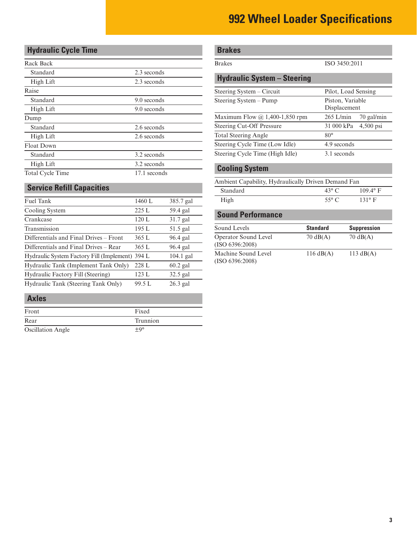## <span id="page-2-0"></span>**Hydraulic Cycle Time**

| Rack Back               |              |
|-------------------------|--------------|
| Standard                | 2.3 seconds  |
| High Lift               | 2.3 seconds  |
| Raise                   |              |
| Standard                | 9.0 seconds  |
| High Lift               | 9.0 seconds  |
| Dump                    |              |
| Standard                | 2.6 seconds  |
| High Lift               | 2.6 seconds  |
| <b>Float Down</b>       |              |
| Standard                | 3.2 seconds  |
| High Lift               | 3.2 seconds  |
| <b>Total Cycle Time</b> | 17.1 seconds |

### **Service Refill Capacities**

| Fuel Tank                                       | 1460 L | 385.7 gal   |
|-------------------------------------------------|--------|-------------|
| Cooling System                                  | 225L   | 59.4 gal    |
| Crankcase                                       | 120 L  | $31.7$ gal  |
| Transmission                                    | 195 L  | $51.5$ gal  |
| Differentials and Final Drives – Front          | 365 L  | 96.4 gal    |
| Differentials and Final Drives – Rear           | 365 L  | 96.4 gal    |
| Hydraulic System Factory Fill (Implement) 394 L |        | $104.1$ gal |
| Hydraulic Tank (Implement Tank Only)            | 228 L  | $60.2$ gal  |
| Hydraulic Factory Fill (Steering)               | 123 L  | $32.5$ gal  |
| Hydraulic Tank (Steering Tank Only)             | 99.5 L | $26.3$ gal  |
|                                                 |        |             |

#### **Axles**

| Front                    | Fixed      |
|--------------------------|------------|
| Rear                     | Trunnion   |
| <b>Oscillation Angle</b> | $+9^\circ$ |

# **Brakes**

#### Brakes ISO 3450:2011

### **Hydraulic System – Steering**

| Steering System – Circuit             | Pilot, Load Sensing              |
|---------------------------------------|----------------------------------|
| Steering System – Pump                | Piston, Variable<br>Displacement |
| Maximum Flow $\omega$ 1,400-1,850 rpm | $265$ L/min<br>70 gal/min        |
| <b>Steering Cut-Off Pressure</b>      | $4,500$ psi<br>31 000 kPa        |
| <b>Total Steering Angle</b>           | $80^\circ$                       |
| Steering Cycle Time (Low Idle)        | 4.9 seconds                      |
| Steering Cycle Time (High Idle)       | 3.1 seconds                      |

#### **Cooling System**

| Ambient Capability, Hydraulically Driven Demand Fan |                 |               |  |  |  |  |
|-----------------------------------------------------|-----------------|---------------|--|--|--|--|
| Standard<br>$109.4^{\circ}$ F<br>$43^\circ$ C       |                 |               |  |  |  |  |
| High                                                | 55 $^{\circ}$ C | $131^\circ$ F |  |  |  |  |

#### **Sound Performance**

| Sound Levels                            | <b>Standard</b>     | <b>Suppression</b>  |
|-----------------------------------------|---------------------|---------------------|
| Operator Sound Level<br>(ISO 6396:2008) | $70 \text{ dB}(A)$  | $70 \text{ dB}(A)$  |
| Machine Sound Level<br>(ISO 6396:2008)  | $116 \text{ dB}(A)$ | $113 \text{ dB}(A)$ |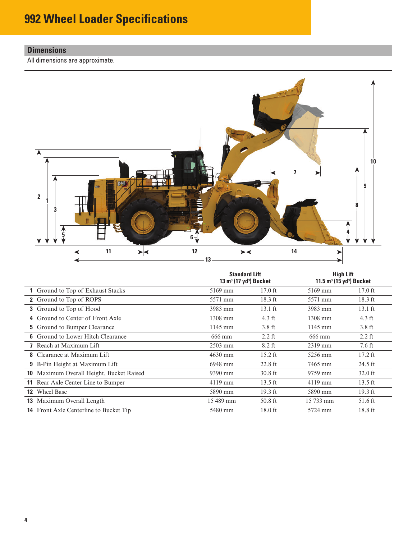### <span id="page-3-0"></span>**Dimensions**

All dimensions are approximate.



|                                               | <b>Standard Lift</b><br>13 $m^3$ (17 yd <sup>3</sup> ) Bucket |                   | <b>High Lift</b><br>11.5 $m^3$ (15 yd <sup>3</sup> ) Bucket |                  |  |
|-----------------------------------------------|---------------------------------------------------------------|-------------------|-------------------------------------------------------------|------------------|--|
| Ground to Top of Exhaust Stacks               | 5169 mm                                                       | $17.0$ ft         | 5169 mm                                                     | $17.0$ ft        |  |
| 2 Ground to Top of ROPS                       | 5571 mm                                                       | $18.3$ ft         | 5571 mm                                                     | $18.3$ ft        |  |
| 3 Ground to Top of Hood                       | 3983 mm                                                       | $13.1 \text{ ft}$ | 3983 mm                                                     | $13.1$ ft        |  |
| 4 Ground to Center of Front Axle              | 1308 mm                                                       | $4.3 \text{ ft}$  | 1308 mm                                                     | $4.3 \text{ ft}$ |  |
| <b>5</b> Ground to Bumper Clearance           | 1145 mm                                                       | $3.8$ ft          | $1145$ mm                                                   | $3.8$ ft         |  |
| <b>6</b> Ground to Lower Hitch Clearance      | 666 mm                                                        | $2.2$ ft          | 666 mm                                                      | $2.2$ ft         |  |
| <b>7</b> Reach at Maximum Lift                | 2503 mm                                                       | 8.2 ft            | 2319 mm                                                     | 7.6 ft           |  |
| <b>8</b> Clearance at Maximum Lift            | 4630 mm                                                       | $15.2$ ft         | 5256 mm                                                     | $17.2$ ft        |  |
| <b>9</b> B-Pin Height at Maximum Lift         | 6948 mm                                                       | $22.8$ ft         | 7465 mm                                                     | $24.5$ ft        |  |
| 10 Maximum Overall Height, Bucket Raised      | 9390 mm                                                       | $30.8$ ft         | 9759 mm                                                     | $32.0$ ft        |  |
| <b>11</b> Rear Axle Center Line to Bumper     | $4119$ mm                                                     | $13.5$ ft         | $4119$ mm                                                   | $13.5$ ft        |  |
| <b>12</b> Wheel Base                          | 5890 mm                                                       | $19.3$ ft         | 5890 mm                                                     | $19.3$ ft        |  |
| <b>13</b> Maximum Overall Length              | 15 489 mm                                                     | $50.8$ ft         | 15 733 mm                                                   | 51.6 ft          |  |
| <b>14</b> Front Axle Centerline to Bucket Tip | 5480 mm                                                       | $18.0$ ft         | 5724 mm                                                     | 18.8 ft          |  |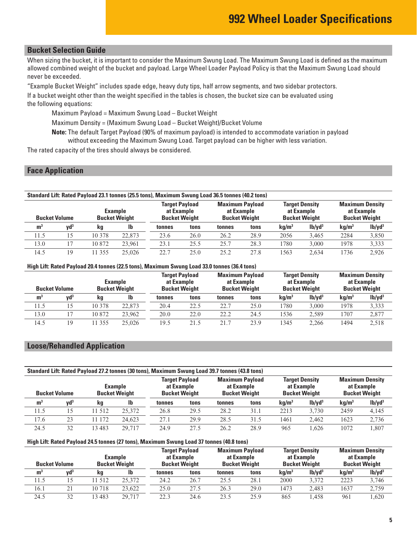#### <span id="page-4-0"></span>**Bucket Selection Guide**

When sizing the bucket, it is important to consider the Maximum Swung Load. The Maximum Swung Load is defined as the maximum allowed combined weight of the bucket and payload. Large Wheel Loader Payload Policy is that the Maximum Swung Load should never be exceeded.

"Example Bucket Weight" includes spade edge, heavy duty tips, half arrow segments, and two sidebar protectors.

If a bucket weight other than the weight specified in the tables is chosen, the bucket size can be evaluated using the following equations:

Maximum Payload = Maximum Swung Load – Bucket Weight

Maximum Density = (Maximum Swung Load – Bucket Weight)/Bucket Volume

**Note:** The default Target Payload (90% of maximum payload) is intended to accommodate variation in payload without exceeding the Maximum Swung Load. Target payload can be higher with less variation.

The rated capacity of the tires should always be considered.

#### **Face Application**

|                      | Standard Lift: Rated Payload 23.1 tonnes (25.5 tons), Maximum Swung Load 36.5 tonnes (40.2 tons) |                                        |        |                                                             |      |                                      |                      |                   |                                                             |                   |                                                              |
|----------------------|--------------------------------------------------------------------------------------------------|----------------------------------------|--------|-------------------------------------------------------------|------|--------------------------------------|----------------------|-------------------|-------------------------------------------------------------|-------------------|--------------------------------------------------------------|
| <b>Bucket Volume</b> |                                                                                                  | <b>Example</b><br><b>Bucket Weight</b> |        | <b>Target Payload</b><br>at Example<br><b>Bucket Weight</b> |      | <b>Maximum Payload</b><br>at Example | <b>Bucket Weight</b> |                   | <b>Target Density</b><br>at Example<br><b>Bucket Weight</b> |                   | <b>Maximum Density</b><br>at Example<br><b>Bucket Weight</b> |
| m <sup>3</sup>       | vd <sup>3</sup>                                                                                  | kq                                     | -lb    | tonnes                                                      | tons | tonnes                               | tons                 | kq/m <sup>3</sup> | 1 <sub>b</sub> /yd <sup>3</sup>                             | kq/m <sup>3</sup> | 1 <sub>b</sub> /yd <sup>3</sup>                              |
| 11.5                 | 15                                                                                               | 10 378                                 | 22,873 | 23.6                                                        | 26.0 | 26.2                                 | 28.9                 | 2056              | 3.465                                                       | 2284              | 3,850                                                        |
| 13.0                 | 17                                                                                               | 10872                                  | 23.961 | 23.1                                                        | 25.5 | 25.7                                 | 28.3                 | 1780              | 3.000                                                       | 1978              | 3,333                                                        |
| 14.5                 | 19                                                                                               | 355<br>-1                              | 25,026 | 22.7                                                        | 25.0 | 25.2                                 | 27.8                 | 1563              | 2.634                                                       | 1736              | 2.926                                                        |

#### **High Lift: Rated Payload 20.4 tonnes (22.5 tons), Maximum Swung Load 33.0 tonnes (36.4 tons)**

| <b>Example</b><br><b>Bucket Weight</b><br><b>Bucket Volume</b> |                 |         | at Example<br><b>Bucket Weight</b> | <b>Target Payload</b> | <b>Maximum Pavload</b><br>at Example<br><b>Bucket Weight</b> |        |      | <b>Target Density</b><br>at Example<br><b>Bucket Weight</b> |                                 | <b>Maximum Density</b><br>at Example<br><b>Bucket Weight</b> |                                 |
|----------------------------------------------------------------|-----------------|---------|------------------------------------|-----------------------|--------------------------------------------------------------|--------|------|-------------------------------------------------------------|---------------------------------|--------------------------------------------------------------|---------------------------------|
| m <sup>3</sup>                                                 | vd <sup>3</sup> | kq      | lb                                 | tonnes                | tons                                                         | tonnes | tons | kq/m <sup>3</sup>                                           | 1 <sub>b</sub> /yd <sup>3</sup> | kq/m <sup>3</sup>                                            | 1 <sub>b</sub> /yd <sup>3</sup> |
| 11.5                                                           |                 | 10 378  | 22,873                             | 20.4                  | 22.5                                                         | 22.7   | 25.0 | 1780                                                        | 3.000                           | 1978                                                         | 3,333                           |
| 13.0                                                           |                 | 10 872  | 23.962                             | 20.0                  | 22.0                                                         | 22.2   | 24.5 | 1536                                                        | 2.589                           | 1707                                                         | 2,877                           |
| 14.5                                                           | 19              | 1 3 5 5 | 25,026                             | 19.5                  | 21.5                                                         |        | 23.9 | 1345                                                        | 2.266                           | 1494                                                         | 2.518                           |

#### **Loose/Rehandled Application**

| Standard Lift: Rated Payload 27.2 tonnes (30 tons), Maximum Swung Load 39.7 tonnes (43.8 tons) |                 |                                        |        |                                                             |      |                                                              |      |                                                             |                                 |                                                              |                                 |
|------------------------------------------------------------------------------------------------|-----------------|----------------------------------------|--------|-------------------------------------------------------------|------|--------------------------------------------------------------|------|-------------------------------------------------------------|---------------------------------|--------------------------------------------------------------|---------------------------------|
| <b>Bucket Volume</b>                                                                           |                 | <b>Example</b><br><b>Bucket Weight</b> |        | <b>Target Payload</b><br>at Example<br><b>Bucket Weight</b> |      | <b>Maximum Payload</b><br>at Example<br><b>Bucket Weight</b> |      | <b>Target Density</b><br>at Example<br><b>Bucket Weight</b> |                                 | <b>Maximum Density</b><br>at Example<br><b>Bucket Weight</b> |                                 |
| m <sup>3</sup>                                                                                 | vd <sup>3</sup> | kg                                     | lb     | tonnes                                                      | tons | tonnes                                                       | tons | kq/m <sup>3</sup>                                           | 1 <sub>b</sub> /yd <sup>3</sup> | kq/m <sup>3</sup>                                            | 1 <sub>b</sub> /yd <sup>3</sup> |
| 11.5                                                                                           | 15              | 11 512                                 | 25,372 | 26.8                                                        | 29.5 | 28.2                                                         | 31.1 | 2213                                                        | 3.730                           | 2459                                                         | 4,145                           |
| 17.6                                                                                           | 23              | 11 172                                 | 24.623 | 27.1                                                        | 29.9 | 28.5                                                         | 31.5 | 1461                                                        | 2.462                           | 1623                                                         | 2,736                           |
| 24.5                                                                                           | 32              | 13483                                  | 29.717 | 24.9                                                        | 27.5 | 26.2                                                         | 28.9 | 965                                                         | 1.626                           | 1072                                                         | .807                            |

#### **High Lift: Rated Payload 24.5 tonnes (27 tons), Maximum Swung Load 37 tonnes (40.8 tons)**

| <b>Example</b><br><b>Bucket Weight</b><br><b>Bucket Volume</b> |                 |         | <b>Bucket Weight</b> | <b>Target Payload</b><br>at Example | <b>Maximum Payload</b><br>at Example<br><b>Bucket Weight</b> |        |      | <b>Target Density</b><br>at Example<br><b>Bucket Weight</b> |                                 | <b>Maximum Density</b><br>at Example<br><b>Bucket Weight</b> |                                 |
|----------------------------------------------------------------|-----------------|---------|----------------------|-------------------------------------|--------------------------------------------------------------|--------|------|-------------------------------------------------------------|---------------------------------|--------------------------------------------------------------|---------------------------------|
| m <sup>3</sup>                                                 | vd <sup>3</sup> | kg      | lb                   | tonnes                              | tons                                                         | tonnes | tons | $\rm ka/m^3$                                                | 1 <sub>b</sub> /yd <sup>3</sup> | kg/m <sup>3</sup>                                            | 1 <sub>b</sub> /yd <sup>3</sup> |
| 11.5                                                           |                 | 1 5 1 2 | 25,372               | 24.2                                | 26.7                                                         | 25.5   | 28.1 | 2000                                                        | 3.372                           | 2223                                                         | 3,746                           |
| 16.1                                                           |                 | 10718   | 23.622               | 25.0                                | 27.5                                                         | 26.3   | 29.0 | 1473                                                        | 2.483                           | 1637                                                         | 2,759                           |
| 24.5                                                           |                 | 13 483  | 29.717               | 22.3                                | 24.6                                                         | 23.5   | 25.9 | 865                                                         | .458                            | 961                                                          | .620                            |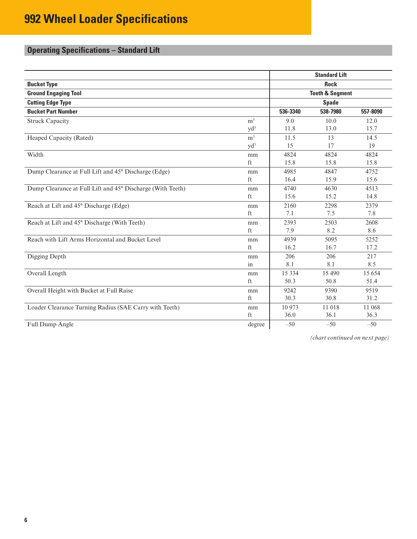# <span id="page-5-0"></span>**Operating Specifications – Standard Lift**

|                                                            |                | <b>Standard Lift</b>       |              |          |  |
|------------------------------------------------------------|----------------|----------------------------|--------------|----------|--|
| <b>Bucket Type</b>                                         |                |                            | <b>Rock</b>  |          |  |
| <b>Ground Engaging Tool</b>                                |                | <b>Teeth &amp; Segment</b> |              |          |  |
| <b>Cutting Edge Type</b>                                   |                |                            | <b>Spade</b> |          |  |
| <b>Bucket Part Number</b>                                  |                | 536-3340                   | 538-7980     | 557-8090 |  |
| <b>Struck Capacity</b>                                     | m <sup>3</sup> | 9.0                        | 10.0         | 12.0     |  |
|                                                            | $yd^3$         | 11.8                       | 13.0         | 15.7     |  |
| Heaped Capacity (Rated)                                    | m <sup>3</sup> | 11.5                       | 13           | 14.5     |  |
|                                                            | $yd^3$         | 15                         | 17           | 19       |  |
| Width                                                      | mm             | 4824                       | 4824         | 4824     |  |
|                                                            | ft             | 15.8                       | 15.8         | 15.8     |  |
| Dump Clearance at Full Lift and 45° Discharge (Edge)       | mm             | 4985                       | 4847         | 4752     |  |
|                                                            | ft             | 16.4                       | 15.9         | 15.6     |  |
| Dump Clearance at Full Lift and 45° Discharge (With Teeth) | mm             | 4740                       | 4630         | 4513     |  |
|                                                            | ft             | 15.6                       | 15.2         | 14.8     |  |
| Reach at Lift and 45° Discharge (Edge)                     | mm             | 2160                       | 2298         | 2379     |  |
|                                                            | ft             | 7.1                        | 7.5          | 7.8      |  |
| Reach at Lift and 45° Discharge (With Teeth)               | mm             | 2393                       | 2503         | 2608     |  |
|                                                            | ft             | 7.9                        | 8.2          | 8.6      |  |
| Reach with Lift Arms Horizontal and Bucket Level           | mm             | 4939                       | 5095         | 5252     |  |
|                                                            | ft             | 16.2                       | 16.7         | 17.2     |  |
| Digging Depth                                              | mm             | 206                        | 206          | 217      |  |
|                                                            | in             | 8.1                        | 8.1          | 8.5      |  |
| Overall Length                                             | mm             | 15 3 3 4                   | 15 490       | 15 654   |  |
|                                                            | ft             | 50.3                       | 50.8         | 51.4     |  |
| Overall Height with Bucket at Full Raise                   | mm             | 9242                       | 9390         | 9519     |  |
|                                                            | ft             | 30.3                       | 30.8         | 31.2     |  |
| Loader Clearance Turning Radius (SAE Carry with Teeth)     | mm             | 10973                      | 11 018       | 11 068   |  |
|                                                            | ft             | 36.0                       | 36.1         | 36.3     |  |
| Full Dump Angle                                            | degree         | $-50$                      | $-50$        | $-50$    |  |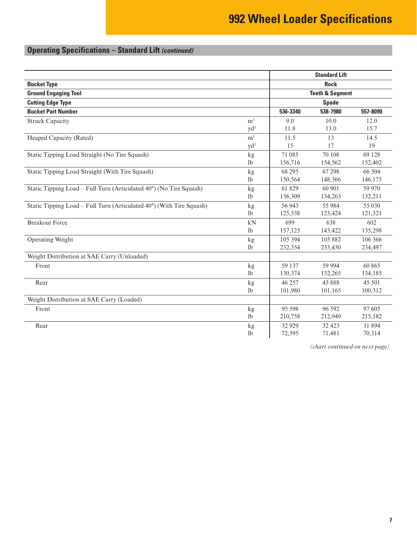# **Operating Specifications – Standard Lift** *(continued)*

|                                                                      |                | <b>Standard Lift</b>       |              |          |  |
|----------------------------------------------------------------------|----------------|----------------------------|--------------|----------|--|
| <b>Bucket Type</b>                                                   |                |                            | <b>Rock</b>  |          |  |
| <b>Ground Engaging Tool</b>                                          |                | <b>Teeth &amp; Segment</b> |              |          |  |
| <b>Cutting Edge Type</b>                                             |                |                            | <b>Spade</b> |          |  |
| <b>Bucket Part Number</b>                                            |                | 536-3340                   | 538-7980     | 557-8090 |  |
| <b>Struck Capacity</b>                                               | m <sup>3</sup> | 9.0                        | 10.0         | 12.0     |  |
|                                                                      | $yd^3$         | 11.8                       | 13.0         | 15.7     |  |
| Heaped Capacity (Rated)                                              | m <sup>3</sup> | 11.5                       | 13           | 14.5     |  |
|                                                                      | $yd^3$         | 15                         | 17           | 19       |  |
| Static Tipping Load Straight (No Tire Squash)                        | kg             | 71 085                     | 70 108       | 69 128   |  |
|                                                                      | 1b             | 156,716                    | 154,562      | 152,402  |  |
| Static Tipping Load Straight (With Tire Squash)                      | kg             | 68 29 5                    | 67 298       | 66 304   |  |
|                                                                      | 1 <sub>b</sub> | 150,564                    | 148,366      | 146,175  |  |
| Static Tipping Load – Full Turn (Articulated 40°) (No Tire Squash)   | kg             | 61 829                     | 60 901       | 59 970   |  |
|                                                                      | 1 <sub>b</sub> | 136,309                    | 134,263      | 132,211  |  |
| Static Tipping Load - Full Turn (Articulated 40°) (With Tire Squash) | kg             | 56 943                     | 55 984       | 55 030   |  |
|                                                                      | 1 <sub>b</sub> | 125,538                    | 123,424      | 121,321  |  |
| <b>Breakout Force</b>                                                | kN             | 699                        | 638          | 602      |  |
|                                                                      | 1 <sub>b</sub> | 157,125                    | 143,422      | 135,298  |  |
| Operating Weight                                                     | kg             | 105 394                    | 105 882      | 106 366  |  |
|                                                                      | 1 <sub>b</sub> | 232,354                    | 233,430      | 234,497  |  |
| Weight Distribution at SAE Carry (Unloaded)                          |                |                            |              |          |  |
| Front                                                                | kg             | 59 137                     | 59 994       | 60 865   |  |
|                                                                      | 1 <sub>b</sub> | 130,374                    | 132,265      | 134,185  |  |
| Rear                                                                 | kg             | 46 257                     | 45 888       | 45 501   |  |
|                                                                      | 1 <sub>b</sub> | 101,980                    | 101,165      | 100,312  |  |
| Weight Distribution at SAE Carry (Loaded)                            |                |                            |              |          |  |
| Front                                                                | kg             | 95 598                     | 96 592       | 97 605   |  |
|                                                                      | 1 <sub>b</sub> | 210,758                    | 212,949      | 215,182  |  |
| Rear                                                                 | kg             | 32 9 29                    | 32 4 23      | 31 894   |  |
|                                                                      | 1 <sub>b</sub> | 72,595                     | 71,481       | 70,314   |  |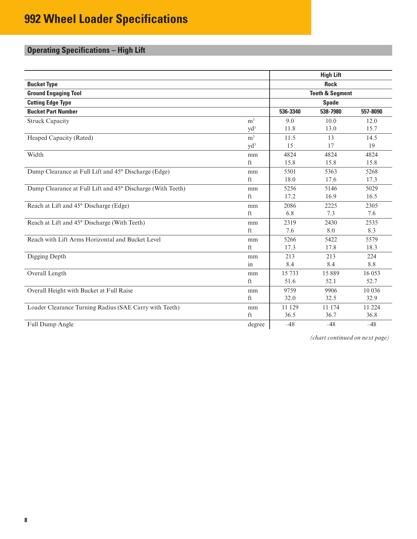# <span id="page-7-0"></span>**Operating Specifications – High Lift**

|                                                            |                     | <b>High Lift</b>           |              |          |  |
|------------------------------------------------------------|---------------------|----------------------------|--------------|----------|--|
| <b>Bucket Type</b>                                         |                     |                            | <b>Rock</b>  |          |  |
| <b>Ground Engaging Tool</b>                                |                     | <b>Teeth &amp; Segment</b> |              |          |  |
| <b>Cutting Edge Type</b>                                   |                     |                            | <b>Spade</b> |          |  |
| <b>Bucket Part Number</b>                                  |                     | 536-3340                   | 538-7980     | 557-8090 |  |
| <b>Struck Capacity</b>                                     | m <sup>3</sup>      | 9.0                        | 10.0         | 12.0     |  |
|                                                            | $yd^3$              | 11.8                       | 13.0         | 15.7     |  |
| Heaped Capacity (Rated)                                    | m <sup>3</sup>      | 11.5                       | 13           | 14.5     |  |
|                                                            | $yd^3$              | 15                         | 17           | 19       |  |
| Width                                                      | mm                  | 4824                       | 4824         | 4824     |  |
|                                                            | $\operatorname{ft}$ | 15.8                       | 15.8         | 15.8     |  |
| Dump Clearance at Full Lift and 45° Discharge (Edge)       | mm                  | 5501                       | 5363         | 5268     |  |
|                                                            | ft                  | 18.0                       | 17.6         | 17.3     |  |
| Dump Clearance at Full Lift and 45° Discharge (With Teeth) | mm                  | 5256                       | 5146         | 5029     |  |
|                                                            | ft                  | 17.2                       | 16.9         | 16.5     |  |
| Reach at Lift and 45° Discharge (Edge)                     | mm                  | 2086                       | 2225         | 2305     |  |
|                                                            | ft                  | 6.8                        | 7.3          | 7.6      |  |
| Reach at Lift and 45° Discharge (With Teeth)               | mm                  | 2319                       | 2430         | 2535     |  |
|                                                            | ft                  | 7.6                        | 8.0          | 8.3      |  |
| Reach with Lift Arms Horizontal and Bucket Level           | mm                  | 5266                       | 5422         | 5579     |  |
|                                                            | ft                  | 17.3                       | 17.8         | 18.3     |  |
| Digging Depth                                              | mm                  | 213                        | 213          | 224      |  |
|                                                            | in                  | 8.4                        | 8.4          | 8.8      |  |
| Overall Length                                             | mm                  | 15733                      | 15889        | 16 053   |  |
|                                                            | ft                  | 51.6                       | 52.1         | 52.7     |  |
| Overall Height with Bucket at Full Raise                   | mm                  | 9759                       | 9906         | 10 0 36  |  |
|                                                            | ft                  | 32.0                       | 32.5         | 32.9     |  |
| Loader Clearance Turning Radius (SAE Carry with Teeth)     | mm                  | 11 129                     | 11 174       | 11 224   |  |
|                                                            | ft                  | 36.5                       | 36.7         | 36.8     |  |
| Full Dump Angle                                            | degree              | $-48$                      | $-48$        | $-48$    |  |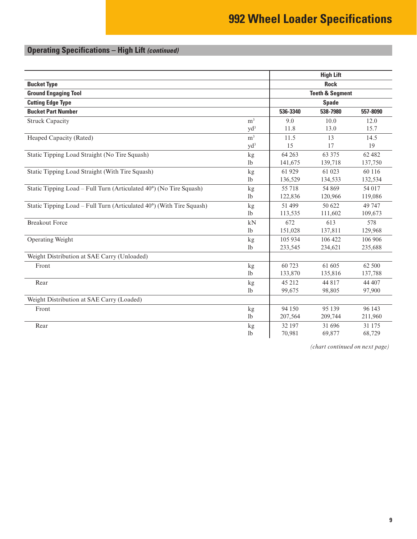# **Operating Specifications – High Lift** *(continued)*

|                                                                      |                | <b>High Lift</b> |                            |          |  |
|----------------------------------------------------------------------|----------------|------------------|----------------------------|----------|--|
| <b>Bucket Type</b>                                                   |                |                  | <b>Rock</b>                |          |  |
| <b>Ground Engaging Tool</b>                                          |                |                  | <b>Teeth &amp; Segment</b> |          |  |
| <b>Cutting Edge Type</b>                                             |                |                  | <b>Spade</b>               |          |  |
| <b>Bucket Part Number</b>                                            |                | 536-3340         | 538-7980                   | 557-8090 |  |
| <b>Struck Capacity</b>                                               | m <sup>3</sup> | 9.0              | 10.0                       | 12.0     |  |
|                                                                      | $yd^3$         | 11.8             | 13.0                       | 15.7     |  |
| Heaped Capacity (Rated)                                              | m <sup>3</sup> | 11.5             | 13                         | 14.5     |  |
|                                                                      | $yd^3$         | 15               | 17                         | 19       |  |
| Static Tipping Load Straight (No Tire Squash)                        | kg             | 64 263           | 63 375                     | 62 482   |  |
|                                                                      | 1 <sub>b</sub> | 141,675          | 139,718                    | 137,750  |  |
| Static Tipping Load Straight (With Tire Squash)                      | kg             | 61 929           | 61 023                     | 60 116   |  |
|                                                                      | 1 <sub>b</sub> | 136,529          | 134,533                    | 132,534  |  |
| Static Tipping Load – Full Turn (Articulated 40°) (No Tire Squash)   | kg             | 55 718           | 54 869                     | 54 017   |  |
|                                                                      | 1 <sub>b</sub> | 122,836          | 120,966                    | 119,086  |  |
| Static Tipping Load - Full Turn (Articulated 40°) (With Tire Squash) | kg             | 51 499           | 50 622                     | 49 747   |  |
|                                                                      | 1 <sub>b</sub> | 113,535          | 111,602                    | 109,673  |  |
| <b>Breakout Force</b>                                                | kN             | 672              | 613                        | 578      |  |
|                                                                      | 1 <sub>b</sub> | 151,028          | 137,811                    | 129,968  |  |
| Operating Weight                                                     | kg             | 105 934          | 106 422                    | 106 906  |  |
|                                                                      | 1 <sub>b</sub> | 233,545          | 234,621                    | 235,688  |  |
| Weight Distribution at SAE Carry (Unloaded)                          |                |                  |                            |          |  |
| Front                                                                | kg             | 60 723           | 61 605                     | 62 500   |  |
|                                                                      | 1 <sub>b</sub> | 133,870          | 135,816                    | 137,788  |  |
| Rear                                                                 | kg             | 45 212           | 44 817                     | 44 407   |  |
|                                                                      | 1 <sub>b</sub> | 99,675           | 98,805                     | 97,900   |  |
| Weight Distribution at SAE Carry (Loaded)                            |                |                  |                            |          |  |
| Front                                                                | kg             | 94 150           | 95 139                     | 96 143   |  |
|                                                                      | 1 <sub>b</sub> | 207,564          | 209,744                    | 211,960  |  |
| Rear                                                                 | kg             | 32 197           | 31 696                     | 31 175   |  |
|                                                                      | 1 <sub>b</sub> | 70,981           | 69,877                     | 68,729   |  |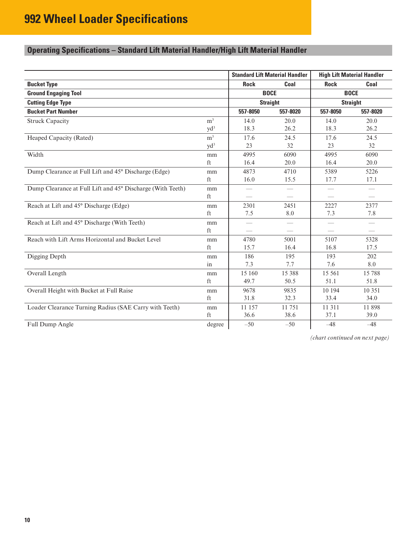### <span id="page-9-0"></span>**Operating Specifications – Standard Lift Material Handler/High Lift Material Handler**

|                                                            |                |                 | <b>Standard Lift Material Handler</b> | <b>High Lift Material Handler</b> |                          |  |
|------------------------------------------------------------|----------------|-----------------|---------------------------------------|-----------------------------------|--------------------------|--|
| <b>Bucket Type</b>                                         |                | <b>Rock</b>     | Coal                                  | <b>Rock</b>                       | Coal                     |  |
| <b>Ground Engaging Tool</b>                                |                |                 | <b>BOCE</b>                           | <b>BOCE</b>                       |                          |  |
| <b>Cutting Edge Type</b>                                   |                |                 | <b>Straight</b>                       |                                   | <b>Straight</b>          |  |
| <b>Bucket Part Number</b>                                  |                | 557-8050        | 557-8020                              | 557-8050                          | 557-8020                 |  |
| <b>Struck Capacity</b>                                     | m <sup>3</sup> | 14.0            | 20.0                                  | 14.0                              | 20.0                     |  |
|                                                            | $yd^3$         | 18.3            | 26.2                                  | 18.3                              | 26.2                     |  |
| Heaped Capacity (Rated)                                    | m <sup>3</sup> | 17.6            | 24.5                                  | 17.6                              | 24.5                     |  |
|                                                            | $yd^3$         | 23              | 32                                    | 23                                | 32                       |  |
| Width                                                      | mm             | 4995            | 6090                                  | 4995                              | 6090                     |  |
|                                                            | ft             | 16.4            | 20.0                                  | 16.4                              | 20.0                     |  |
| Dump Clearance at Full Lift and 45° Discharge (Edge)       | mm             | 4873            | 4710                                  | 5389                              | 5226                     |  |
|                                                            | ft             | 16.0            | 15.5                                  | 17.7                              | 17.1                     |  |
| Dump Clearance at Full Lift and 45° Discharge (With Teeth) | mm             |                 |                                       |                                   | $\qquad \qquad$          |  |
|                                                            | ft             |                 |                                       |                                   |                          |  |
| Reach at Lift and 45° Discharge (Edge)                     | mm             | 2301            | 2451                                  | 2227                              | 2377                     |  |
|                                                            | ft             | 7.5             | 8.0                                   | 7.3                               | 7.8                      |  |
| Reach at Lift and 45° Discharge (With Teeth)               | mm             |                 | $\qquad \qquad$                       |                                   | $\overline{\phantom{m}}$ |  |
|                                                            | ft             | $\qquad \qquad$ | $\frac{1}{2}$                         | $\overline{\phantom{0}}$          | $\hspace{0.05cm}$        |  |
| Reach with Lift Arms Horizontal and Bucket Level           | mm             | 4780            | 5001                                  | 5107                              | 5328                     |  |
|                                                            | ft             | 15.7            | 16.4                                  | 16.8                              | 17.5                     |  |
| Digging Depth                                              | mm             | 186             | 195                                   | 193                               | 202                      |  |
|                                                            | in             | 7.3             | 7.7                                   | 7.6                               | 8.0                      |  |
| Overall Length                                             | mm             | 15 160          | 15 388                                | 15 5 61                           | 15788                    |  |
|                                                            | ft             | 49.7            | 50.5                                  | 51.1                              | 51.8                     |  |
| Overall Height with Bucket at Full Raise                   | mm             | 9678            | 9835                                  | 10 194                            | 10 351                   |  |
|                                                            | ft             | 31.8            | 32.3                                  | 33.4                              | 34.0                     |  |
| Loader Clearance Turning Radius (SAE Carry with Teeth)     | mm             | 11 157          | 11 751                                | 11 311                            | 11898                    |  |
|                                                            | ft             | 36.6            | 38.6                                  | 37.1                              | 39.0                     |  |
| Full Dump Angle                                            | degree         | $-50$           | $-50$                                 | $-48$                             | $-48$                    |  |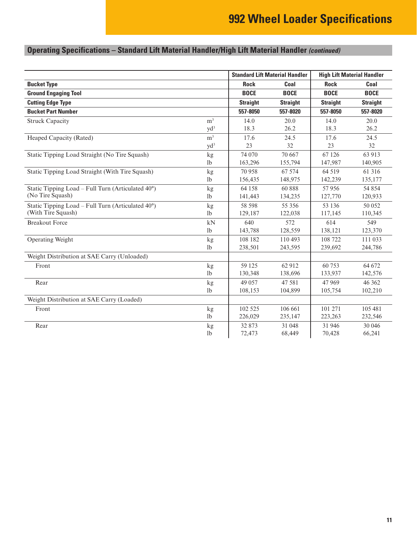# **Operating Specifications – Standard Lift Material Handler/High Lift Material Handler** *(continued)*

|                                                             |                |                 | <b>Standard Lift Material Handler</b> | <b>High Lift Material Handler</b> |                 |  |
|-------------------------------------------------------------|----------------|-----------------|---------------------------------------|-----------------------------------|-----------------|--|
| <b>Bucket Type</b>                                          |                | <b>Rock</b>     | Coal                                  | <b>Rock</b>                       | Coal            |  |
| <b>Ground Engaging Tool</b>                                 |                | <b>BOCE</b>     | <b>BOCE</b>                           | <b>BOCE</b>                       | <b>BOCE</b>     |  |
| <b>Cutting Edge Type</b>                                    |                | <b>Straight</b> | <b>Straight</b>                       | <b>Straight</b>                   | <b>Straight</b> |  |
| <b>Bucket Part Number</b>                                   |                | 557-8050        | 557-8020                              | 557-8050                          | 557-8020        |  |
| <b>Struck Capacity</b>                                      | m <sup>3</sup> | 14.0            | 20.0                                  | 14.0                              | 20.0            |  |
|                                                             | $yd^3$         | 18.3            | 26.2                                  | 18.3                              | 26.2            |  |
| Heaped Capacity (Rated)                                     | m <sup>3</sup> | 17.6            | 24.5                                  | 17.6                              | 24.5            |  |
|                                                             | $yd^3$         | 23              | 32                                    | 23                                | 32              |  |
| Static Tipping Load Straight (No Tire Squash)               | kg             | 74 070          | 70 667                                | 67 126                            | 63 913          |  |
|                                                             | 1 <sub>b</sub> | 163,296         | 155,794                               | 147,987                           | 140,905         |  |
| Static Tipping Load Straight (With Tire Squash)             | kg             | 70958           | 67 574                                | 64 519                            | 61 316          |  |
|                                                             | 1 <sub>b</sub> | 156,435         | 148,975                               | 142,239                           | 135,177         |  |
| Static Tipping Load – Full Turn (Articulated $40^{\circ}$ ) | kg             | 64 158          | 60888                                 | 57956                             | 54 854          |  |
| (No Tire Squash)                                            | 1 <sub>b</sub> | 141,443         | 134,235                               | 127,770                           | 120,933         |  |
| Static Tipping Load – Full Turn (Articulated 40°)           | kg             | 58 598          | 55 356                                | 53 136                            | 50 0 52         |  |
| (With Tire Squash)                                          | 1 <sub>b</sub> | 129,187         | 122,038                               | 117,145                           | 110,345         |  |
| <b>Breakout Force</b>                                       | kN             | 640             | 572                                   | 614                               | 549             |  |
|                                                             | 1 <sub>b</sub> | 143,788         | 128,559                               | 138,121                           | 123,370         |  |
| Operating Weight                                            | kg             | 108 182         | 110 493                               | 108 722                           | 111 033         |  |
|                                                             | 1 <sub>b</sub> | 238,501         | 243,595                               | 239,692                           | 244,786         |  |
| Weight Distribution at SAE Carry (Unloaded)                 |                |                 |                                       |                                   |                 |  |
| Front                                                       | kg             | 59 125          | 62 912                                | 60753                             | 64 672          |  |
|                                                             | 1 <sub>b</sub> | 130,348         | 138,696                               | 133,937                           | 142,576         |  |
| Rear                                                        | kg             | 49 0 57         | 47 581                                | 47 969                            | 46 362          |  |
|                                                             | 1 <sub>b</sub> | 108,153         | 104,899                               | 105,754                           | 102,210         |  |
| Weight Distribution at SAE Carry (Loaded)                   |                |                 |                                       |                                   |                 |  |
| Front                                                       | kg             | 102 525         | 106 661                               | 101 271                           | 105 481         |  |
|                                                             | 1 <sub>b</sub> | 226,029         | 235,147                               | 223,263                           | 232,546         |  |
| Rear                                                        | kg             | 32 873          | 31 048                                | 31 946                            | 30 046          |  |
|                                                             | 1 <sub>b</sub> | 72,473          | 68,449                                | 70,428                            | 66,241          |  |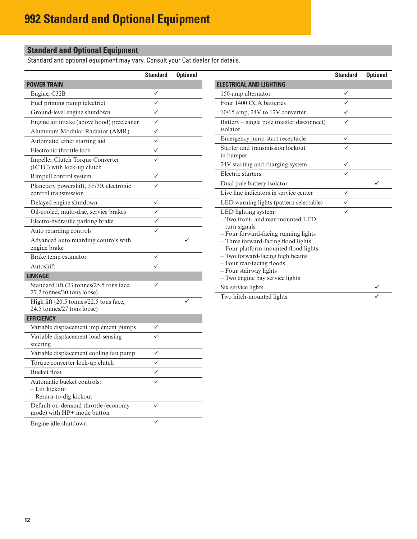### <span id="page-11-0"></span>**Standard and Optional Equipment**

Standard and optional equipment may vary. Consult your Cat dealer for details.

|                                                                         | <b>Standard</b> | <b>Optional</b> |
|-------------------------------------------------------------------------|-----------------|-----------------|
| <b>POWER TRAIN</b>                                                      |                 |                 |
| Engine, C32B                                                            | ✓               |                 |
| Fuel priming pump (electric)                                            | ✓               |                 |
| Ground-level engine shutdown                                            | ✓               |                 |
| Engine air intake (above hood) precleaner                               | ✓               |                 |
| Aluminum Modular Radiator (AMR)                                         | ✓               |                 |
| Automatic, ether starting aid                                           | ✓               |                 |
| Electronic throttle lock                                                | ✓               |                 |
| Impeller Clutch Torque Converter<br>(ICTC) with lock-up clutch          |                 |                 |
| Rimpull control system                                                  |                 |                 |
| Planetary powershift, 3F/3R electronic<br>control transmission          |                 |                 |
| Delayed engine shutdown                                                 |                 |                 |
| Oil-cooled, multi-disc, service brakes                                  |                 |                 |
| Electro-hydraulic parking brake                                         |                 |                 |
| Auto retarding controls                                                 |                 |                 |
| Advanced auto retarding controls with<br>engine brake                   |                 |                 |
| Brake temp estimator                                                    |                 |                 |
| Autoshift                                                               |                 |                 |
| <b>LINKAGE</b>                                                          |                 |                 |
| Standard lift (23 tonnes/25.5 tons face,<br>27.2 tonnes/30 tons loose)  |                 |                 |
| High lift (20.5 tonnes/22.5 tons face,<br>24.5 tonnes/27 tons loose)    |                 |                 |
| <b>EFFICIENCY</b>                                                       |                 |                 |
| Variable displacement implement pumps                                   |                 |                 |
| Variable displacement load-sensing<br>steering                          |                 |                 |
| Variable displacement cooling fan pump                                  |                 |                 |
| Torque converter lock-up clutch                                         |                 |                 |
| <b>Bucket float</b>                                                     |                 |                 |
| Automatic bucket controls:<br>– Lift kickout<br>- Return-to-dig kickout |                 |                 |
| Default on-demand throttle (economy<br>mode) with HP+ mode button       |                 |                 |
|                                                                         |                 |                 |

Engine idle shutdown

|                                                                                                                                                                                                                                                                                                                               | <b>Standard</b> | <b>Optional</b> |
|-------------------------------------------------------------------------------------------------------------------------------------------------------------------------------------------------------------------------------------------------------------------------------------------------------------------------------|-----------------|-----------------|
| <b>ELECTRICAL AND LIGHTING</b>                                                                                                                                                                                                                                                                                                |                 |                 |
| 150-amp alternator                                                                                                                                                                                                                                                                                                            | ✓               |                 |
| Four 1400 CCA batteries                                                                                                                                                                                                                                                                                                       |                 |                 |
| 10/15 amp, 24V to 12V converter                                                                                                                                                                                                                                                                                               |                 |                 |
| Battery – single pole (master disconnect)<br>isolator                                                                                                                                                                                                                                                                         |                 |                 |
| Emergency jump-start receptacle                                                                                                                                                                                                                                                                                               | ✓               |                 |
| Starter and transmission lockout<br>in bumper                                                                                                                                                                                                                                                                                 |                 |                 |
| 24V starting and charging system                                                                                                                                                                                                                                                                                              | ✓               |                 |
| Electric starters                                                                                                                                                                                                                                                                                                             |                 |                 |
| Dual pole battery isolator                                                                                                                                                                                                                                                                                                    |                 |                 |
| Live line indicators in service center                                                                                                                                                                                                                                                                                        | ✓               |                 |
| LED warning lights (pattern selectable)                                                                                                                                                                                                                                                                                       |                 |                 |
| LED lighting system:<br>- Two front- and rear-mounted LED<br>turn signals<br>- Four forward-facing running lights<br>- Three forward-facing flood lights<br>- Four platform-mounted flood lights<br>- Two forward-facing high beams<br>- Four rear-facing floods<br>- Four stairway lights<br>- Two engine bay service lights |                 |                 |
| Six service lights                                                                                                                                                                                                                                                                                                            |                 | ✓               |
| Two hitch-mounted lights                                                                                                                                                                                                                                                                                                      |                 |                 |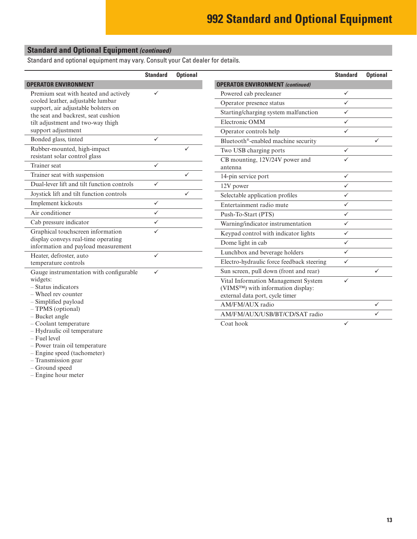#### **Standard and Optional Equipment** *(continued)*

Standard and optional equipment may vary. Consult your Cat dealer for details.

|                                                                            | <b>Standard</b> | <b>Optional</b> |                                           | <b>Standard</b> | <b>Optional</b> |
|----------------------------------------------------------------------------|-----------------|-----------------|-------------------------------------------|-----------------|-----------------|
| <b>OPERATOR ENVIRONMENT</b>                                                |                 |                 | <b>OPERATOR ENVIRONMENT</b> (continued)   |                 |                 |
| Premium seat with heated and actively                                      |                 |                 | Powered cab precleaner                    | $\checkmark$    |                 |
| cooled leather, adjustable lumbar                                          |                 |                 | Operator presence status                  | $\checkmark$    |                 |
| support, air adjustable bolsters on<br>the seat and backrest, seat cushion |                 |                 | Starting/charging system malfunction      | $\checkmark$    |                 |
| tilt adjustment and two-way thigh                                          |                 |                 | Electronic OMM                            | $\checkmark$    |                 |
| support adjustment                                                         |                 |                 | Operator controls help                    | $\checkmark$    |                 |
| Bonded glass, tinted                                                       | $\checkmark$    |                 | Bluetooth®-enabled machine security       |                 | ✓               |
| Rubber-mounted, high-impact                                                |                 |                 | Two USB charging ports                    | $\checkmark$    |                 |
| resistant solar control glass                                              |                 |                 | CB mounting, 12V/24V power and            | $\checkmark$    |                 |
| Trainer seat                                                               | $\checkmark$    |                 | antenna                                   |                 |                 |
| Trainer seat with suspension                                               |                 | ✓               | 14-pin service port                       | $\checkmark$    |                 |
| Dual-lever lift and tilt function controls                                 | $\checkmark$    |                 | 12V power                                 | $\checkmark$    |                 |
| Joystick lift and tilt function controls                                   |                 | ✓               | Selectable application profiles           | $\checkmark$    |                 |
| Implement kickouts                                                         | $\checkmark$    |                 | Entertainment radio mute                  | $\checkmark$    |                 |
| Air conditioner                                                            | $\checkmark$    |                 | Push-To-Start (PTS)                       | $\checkmark$    |                 |
| Cab pressure indicator                                                     | $\checkmark$    |                 | Warning/indicator instrumentation         | $\checkmark$    |                 |
| Graphical touchscreen information                                          | $\checkmark$    |                 | Keypad control with indicator lights      | $\checkmark$    |                 |
| display conveys real-time operating<br>information and payload measurement |                 |                 | Dome light in cab                         | $\checkmark$    |                 |
| Heater, defroster, auto                                                    | ✓               |                 | Lunchbox and beverage holders             | $\checkmark$    |                 |
| temperature controls                                                       |                 |                 | Electro-hydraulic force feedback steering | $\checkmark$    |                 |
| Gauge instrumentation with configurable                                    | $\checkmark$    |                 | Sun screen, pull down (front and rear)    |                 | ✓               |
| widgets:                                                                   |                 |                 | Vital Information Management System       | $\checkmark$    |                 |
| - Status indicators<br>- Wheel rev counter                                 |                 |                 | (VIMS™) with information display:         |                 |                 |
| - Simplified payload                                                       |                 |                 | external data port, cycle timer           |                 |                 |
| - TPMS (optional)                                                          |                 |                 | AM/FM/AUX radio                           |                 | ✓               |
| - Bucket angle                                                             |                 |                 | AM/FM/AUX/USB/BT/CD/SAT radio             |                 | ✓               |
| $-$ Coolant temperature                                                    |                 |                 | Coat hook                                 | $\checkmark$    |                 |
| - Hydraulic oil temperature                                                |                 |                 |                                           |                 |                 |
| - Fuel level                                                               |                 |                 |                                           |                 |                 |

- Power train oil temperature
- Engine speed (tachometer)
- Transmission gear
- Ground speed
- Engine hour meter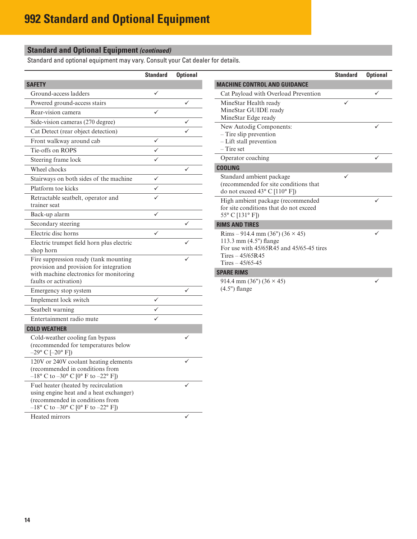### **Standard and Optional Equipment** *(continued)*

Standard and optional equipment may vary. Consult your Cat dealer for details.

|                                                                                                                                                                                     | <b>Standard</b> | <b>Optional</b> |
|-------------------------------------------------------------------------------------------------------------------------------------------------------------------------------------|-----------------|-----------------|
| <b>SAFETY</b>                                                                                                                                                                       |                 |                 |
| Ground-access ladders                                                                                                                                                               | ✓               |                 |
| Powered ground-access stairs                                                                                                                                                        |                 | ✓               |
| Rear-vision camera                                                                                                                                                                  |                 |                 |
| Side-vision cameras (270 degree)                                                                                                                                                    |                 |                 |
| Cat Detect (rear object detection)                                                                                                                                                  |                 |                 |
| Front walkway around cab                                                                                                                                                            |                 |                 |
| Tie-offs on ROPS                                                                                                                                                                    |                 |                 |
| Steering frame lock                                                                                                                                                                 |                 |                 |
| Wheel chocks                                                                                                                                                                        |                 |                 |
| Stairways on both sides of the machine                                                                                                                                              | ✓               |                 |
| Platform toe kicks                                                                                                                                                                  | ✓               |                 |
| Retractable seatbelt, operator and<br>trainer seat                                                                                                                                  |                 |                 |
| Back-up alarm                                                                                                                                                                       | ✓               |                 |
| Secondary steering                                                                                                                                                                  |                 |                 |
| Electric disc horns                                                                                                                                                                 |                 |                 |
| Electric trumpet field horn plus electric<br>shop horn                                                                                                                              |                 |                 |
| Fire suppression ready (tank mounting<br>provision and provision for integration<br>with machine electronics for monitoring<br>faults or activation)                                |                 |                 |
| Emergency stop system                                                                                                                                                               |                 | ✓               |
| Implement lock switch                                                                                                                                                               |                 |                 |
| Seatbelt warning                                                                                                                                                                    |                 |                 |
| Entertainment radio mute                                                                                                                                                            |                 |                 |
| <b>COLD WEATHER</b>                                                                                                                                                                 |                 |                 |
| Cold-weather cooling fan bypass<br>(recommended for temperatures below<br>$-29$ °C [ $-20$ °F])                                                                                     |                 |                 |
| 120V or 240V coolant heating elements<br>(recommended in conditions from<br>$-18$ ° C to $-30$ ° C [0° F to $-22$ ° F])                                                             |                 |                 |
| Fuel heater (heated by recirculation<br>using engine heat and a heat exchanger)<br>(recommended in conditions from<br>$-18^{\circ}$ C to $-30^{\circ}$ C [0° F to $-22^{\circ}$ F]) |                 |                 |
| Heated mirrors                                                                                                                                                                      |                 | ✓               |

|                                                                                                                                                        | <b>Standard</b> | <b>Optional</b> |
|--------------------------------------------------------------------------------------------------------------------------------------------------------|-----------------|-----------------|
| <b>MACHINE CONTROL AND GUIDANCE</b>                                                                                                                    |                 |                 |
| Cat Payload with Overload Prevention                                                                                                                   |                 | ✓               |
| MineStar Health ready<br>MineStar GUIDE ready<br>MineStar Edge ready                                                                                   | $\checkmark$    |                 |
| New Autodig Components:<br>- Tire slip prevention<br>- Lift stall prevention<br>$-$ Tire set                                                           |                 | ✓               |
| Operator coaching                                                                                                                                      |                 | ✓               |
| <b>COOLING</b>                                                                                                                                         |                 |                 |
| Standard ambient package<br>(recommended for site conditions that<br>do not exceed $43^{\circ}$ C [110° F])                                            | ✓               |                 |
| High ambient package (recommended<br>for site conditions that do not exceed<br>55° C [131° F])                                                         |                 |                 |
| <b>RIMS AND TIRES</b>                                                                                                                                  |                 |                 |
| Rims – 914.4 mm (36") (36 $\times$ 45)<br>113.3 mm (4.5") flange<br>For use with 45/65R45 and 45/65-45 tires<br>Tires $-45/65R45$<br>Tires $-45/65-45$ |                 |                 |
| <b>SPARE RIMS</b>                                                                                                                                      |                 |                 |

 $\checkmark$ 

914.4 mm (36") (36  $\times$  45) (4.5") flange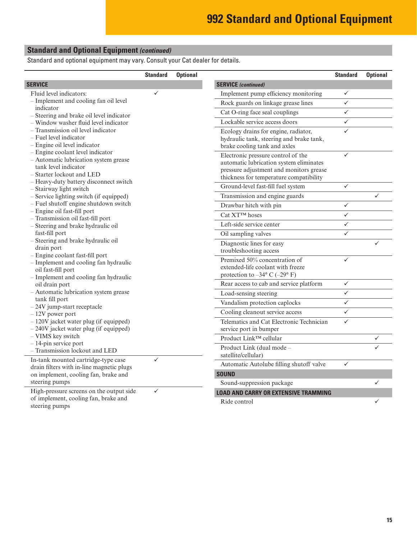### **Standard and Optional Equipment** *(continued)*

Standard and optional equipment may vary. Consult your Cat dealer for details.

|                                                                                  | <b>Standard</b> | <b>Optional</b> |                                                 | <b>Standard</b> | <b>Optional</b> |
|----------------------------------------------------------------------------------|-----------------|-----------------|-------------------------------------------------|-----------------|-----------------|
| <b>SERVICE</b>                                                                   |                 |                 | <b>SERVICE</b> (continued)                      |                 |                 |
| Fluid level indicators:                                                          | ✓               |                 | Implement pump efficiency monitoring            | $\checkmark$    |                 |
| - Implement and cooling fan oil level                                            |                 |                 | Rock guards on linkage grease lines             | $\checkmark$    |                 |
| indicator<br>- Steering and brake oil level indicator                            |                 |                 | Cat O-ring face seal couplings                  | $\checkmark$    |                 |
| - Window washer fluid level indicator                                            |                 |                 | Lockable service access doors                   | $\checkmark$    |                 |
| - Transmission oil level indicator                                               |                 |                 | Ecology drains for engine, radiator,            | $\checkmark$    |                 |
| - Fuel level indicator                                                           |                 |                 | hydraulic tank, steering and brake tank,        |                 |                 |
| $-$ Engine oil level indicator                                                   |                 |                 | brake cooling tank and axles                    |                 |                 |
| - Engine coolant level indicator<br>- Automatic lubrication system grease        |                 |                 | Electronic pressure control of the              | $\checkmark$    |                 |
| tank level indicator                                                             |                 |                 | automatic lubrication system eliminates         |                 |                 |
| - Starter lockout and LED                                                        |                 |                 | pressure adjustment and monitors grease         |                 |                 |
| - Heavy-duty battery disconnect switch                                           |                 |                 | thickness for temperature compatibility         |                 |                 |
| - Stairway light switch                                                          |                 |                 | Ground-level fast-fill fuel system              | $\checkmark$    |                 |
| - Service lighting switch (if equipped)                                          |                 |                 | Transmission and engine guards                  |                 | ✓               |
| - Fuel shutoff engine shutdown switch                                            |                 |                 | Drawbar hitch with pin                          | $\checkmark$    |                 |
| - Engine oil fast-fill port<br>- Transmission oil fast-fill port                 |                 |                 | Cat XT™ hoses                                   | $\checkmark$    |                 |
| - Steering and brake hydraulic oil                                               |                 |                 | Left-side service center                        | $\checkmark$    |                 |
| fast-fill port                                                                   |                 |                 | Oil sampling valves                             | $\checkmark$    |                 |
| - Steering and brake hydraulic oil                                               |                 |                 | Diagnostic lines for easy                       |                 | $\checkmark$    |
| drain port                                                                       |                 |                 | troubleshooting access                          |                 |                 |
| - Engine coolant fast-fill port<br>- Implement and cooling fan hydraulic         |                 |                 | Premixed 50% concentration of                   | $\checkmark$    |                 |
| oil fast-fill port                                                               |                 |                 | extended-life coolant with freeze               |                 |                 |
| - Implement and cooling fan hydraulic                                            |                 |                 | protection to $-34^{\circ}$ C $(-29^{\circ}$ F) |                 |                 |
| oil drain port                                                                   |                 |                 | Rear access to cab and service platform         | $\checkmark$    |                 |
| - Automatic lubrication system grease                                            |                 |                 | Load-sensing steering                           | $\checkmark$    |                 |
| tank fill port<br>$-24V$ jump-start receptacle                                   |                 |                 | Vandalism protection caplocks                   | $\checkmark$    |                 |
| $-12V$ power port                                                                |                 |                 | Cooling cleanout service access                 | $\checkmark$    |                 |
| $-120V$ jacket water plug (if equipped)                                          |                 |                 | Telematics and Cat Electronic Technician        | $\checkmark$    |                 |
| $-240V$ jacket water plug (if equipped)                                          |                 |                 | service port in bumper                          |                 |                 |
| - VIMS key switch                                                                |                 |                 | Product Link™ cellular                          |                 | $\checkmark$    |
| $-14$ -pin service port<br>- Transmission lockout and LED                        |                 |                 | Product Link (dual mode -                       |                 | $\checkmark$    |
|                                                                                  |                 |                 | satellite/cellular)                             |                 |                 |
| In-tank mounted cartridge-type case<br>drain filters with in-line magnetic plugs | $\checkmark$    |                 | Automatic Autolube filling shutoff valve        | $\checkmark$    |                 |
| on implement, cooling fan, brake and                                             |                 |                 | <b>SOUND</b>                                    |                 |                 |
| steering pumps                                                                   |                 |                 | Sound-suppression package                       |                 | ✓               |
| High-pressure screens on the output side                                         | $\checkmark$    |                 | <b>LOAD AND CARRY OR EXTENSIVE TRAMMING</b>     |                 |                 |
| of implement, cooling fan, brake and<br>steering pumps                           |                 |                 | Ride control                                    |                 |                 |